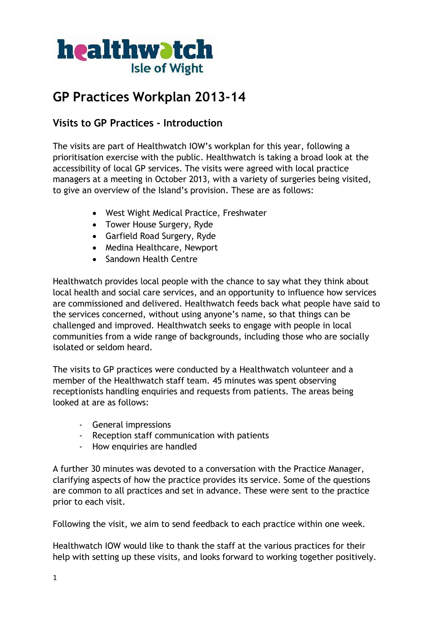

# **GP Practices Workplan 2013-14**

# **Visits to GP Practices - Introduction**

The visits are part of Healthwatch IOW's workplan for this year, following a prioritisation exercise with the public. Healthwatch is taking a broad look at the accessibility of local GP services. The visits were agreed with local practice managers at a meeting in October 2013, with a variety of surgeries being visited, to give an overview of the Island's provision. These are as follows:

- West Wight Medical Practice, Freshwater
- Tower House Surgery, Ryde
- Garfield Road Surgery, Ryde
- Medina Healthcare, Newport
- Sandown Health Centre

Healthwatch provides local people with the chance to say what they think about local health and social care services, and an opportunity to influence how services are commissioned and delivered. Healthwatch feeds back what people have said to the services concerned, without using anyone's name, so that things can be challenged and improved. Healthwatch seeks to engage with people in local communities from a wide range of backgrounds, including those who are socially isolated or seldom heard.

The visits to GP practices were conducted by a Healthwatch volunteer and a member of the Healthwatch staff team. 45 minutes was spent observing receptionists handling enquiries and requests from patients. The areas being looked at are as follows:

- General impressions
- Reception staff communication with patients
- How enquiries are handled

A further 30 minutes was devoted to a conversation with the Practice Manager, clarifying aspects of how the practice provides its service. Some of the questions are common to all practices and set in advance. These were sent to the practice prior to each visit.

Following the visit, we aim to send feedback to each practice within one week.

Healthwatch IOW would like to thank the staff at the various practices for their help with setting up these visits, and looks forward to working together positively.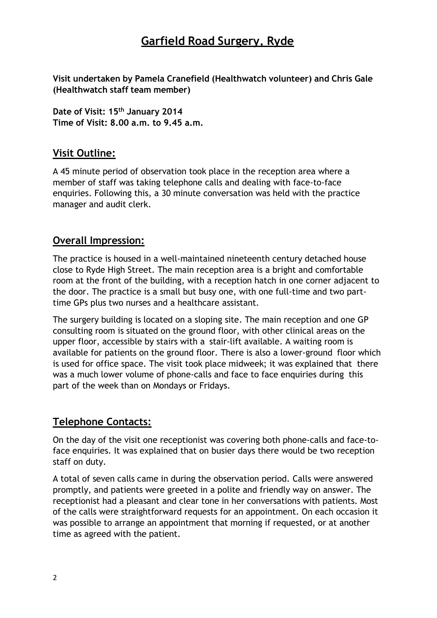# **Garfield Road Surgery, Ryde**

**Visit undertaken by Pamela Cranefield (Healthwatch volunteer) and Chris Gale (Healthwatch staff team member)**

**Date of Visit: 15th January 2014 Time of Visit: 8.00 a.m. to 9.45 a.m.**

# **Visit Outline:**

A 45 minute period of observation took place in the reception area where a member of staff was taking telephone calls and dealing with face-to-face enquiries. Following this, a 30 minute conversation was held with the practice manager and audit clerk.

## **Overall Impression:**

The practice is housed in a well-maintained nineteenth century detached house close to Ryde High Street. The main reception area is a bright and comfortable room at the front of the building, with a reception hatch in one corner adjacent to the door. The practice is a small but busy one, with one full-time and two parttime GPs plus two nurses and a healthcare assistant.

The surgery building is located on a sloping site. The main reception and one GP consulting room is situated on the ground floor, with other clinical areas on the upper floor, accessible by stairs with a stair-lift available. A waiting room is available for patients on the ground floor. There is also a lower-ground floor which is used for office space. The visit took place midweek; it was explained that there was a much lower volume of phone-calls and face to face enquiries during this part of the week than on Mondays or Fridays.

## **Telephone Contacts:**

On the day of the visit one receptionist was covering both phone-calls and face-toface enquiries. It was explained that on busier days there would be two reception staff on duty.

A total of seven calls came in during the observation period. Calls were answered promptly, and patients were greeted in a polite and friendly way on answer. The receptionist had a pleasant and clear tone in her conversations with patients. Most of the calls were straightforward requests for an appointment. On each occasion it was possible to arrange an appointment that morning if requested, or at another time as agreed with the patient.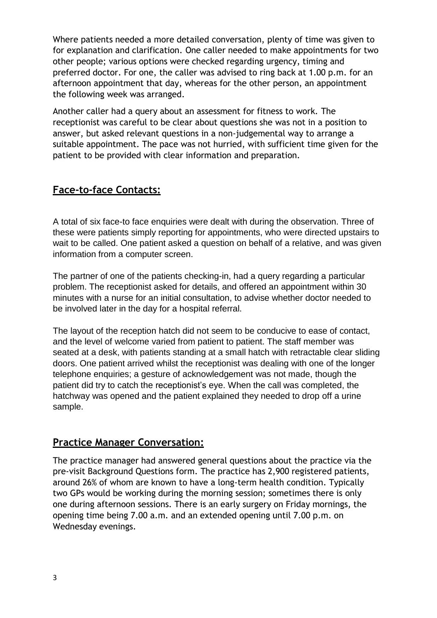Where patients needed a more detailed conversation, plenty of time was given to for explanation and clarification. One caller needed to make appointments for two other people; various options were checked regarding urgency, timing and preferred doctor. For one, the caller was advised to ring back at 1.00 p.m. for an afternoon appointment that day, whereas for the other person, an appointment the following week was arranged.

Another caller had a query about an assessment for fitness to work. The receptionist was careful to be clear about questions she was not in a position to answer, but asked relevant questions in a non-judgemental way to arrange a suitable appointment. The pace was not hurried, with sufficient time given for the patient to be provided with clear information and preparation.

# **Face-to-face Contacts:**

A total of six face-to face enquiries were dealt with during the observation. Three of these were patients simply reporting for appointments, who were directed upstairs to wait to be called. One patient asked a question on behalf of a relative, and was given information from a computer screen.

The partner of one of the patients checking-in, had a query regarding a particular problem. The receptionist asked for details, and offered an appointment within 30 minutes with a nurse for an initial consultation, to advise whether doctor needed to be involved later in the day for a hospital referral.

The layout of the reception hatch did not seem to be conducive to ease of contact, and the level of welcome varied from patient to patient. The staff member was seated at a desk, with patients standing at a small hatch with retractable clear sliding doors. One patient arrived whilst the receptionist was dealing with one of the longer telephone enquiries; a gesture of acknowledgement was not made, though the patient did try to catch the receptionist's eye. When the call was completed, the hatchway was opened and the patient explained they needed to drop off a urine sample.

## **Practice Manager Conversation:**

The practice manager had answered general questions about the practice via the pre-visit Background Questions form. The practice has 2,900 registered patients, around 26% of whom are known to have a long-term health condition. Typically two GPs would be working during the morning session; sometimes there is only one during afternoon sessions. There is an early surgery on Friday mornings, the opening time being 7.00 a.m. and an extended opening until 7.00 p.m. on Wednesday evenings.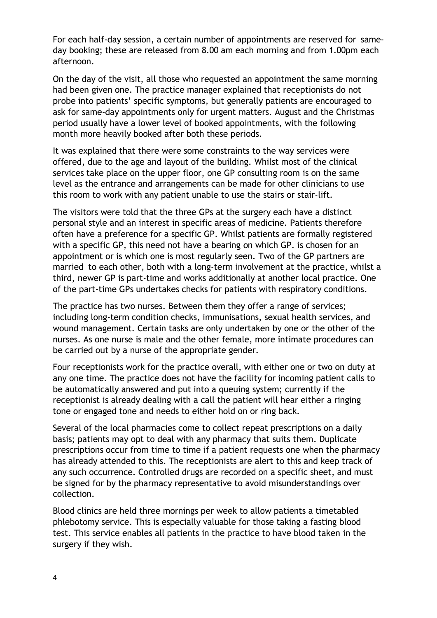For each half-day session, a certain number of appointments are reserved for sameday booking; these are released from 8.00 am each morning and from 1.00pm each afternoon.

On the day of the visit, all those who requested an appointment the same morning had been given one. The practice manager explained that receptionists do not probe into patients' specific symptoms, but generally patients are encouraged to ask for same-day appointments only for urgent matters. August and the Christmas period usually have a lower level of booked appointments, with the following month more heavily booked after both these periods.

It was explained that there were some constraints to the way services were offered, due to the age and layout of the building. Whilst most of the clinical services take place on the upper floor, one GP consulting room is on the same level as the entrance and arrangements can be made for other clinicians to use this room to work with any patient unable to use the stairs or stair-lift.

The visitors were told that the three GPs at the surgery each have a distinct personal style and an interest in specific areas of medicine. Patients therefore often have a preference for a specific GP. Whilst patients are formally registered with a specific GP, this need not have a bearing on which GP. is chosen for an appointment or is which one is most regularly seen. Two of the GP partners are married to each other, both with a long-term involvement at the practice, whilst a third, newer GP is part-time and works additionally at another local practice. One of the part-time GPs undertakes checks for patients with respiratory conditions.

The practice has two nurses. Between them they offer a range of services; including long-term condition checks, immunisations, sexual health services, and wound management. Certain tasks are only undertaken by one or the other of the nurses. As one nurse is male and the other female, more intimate procedures can be carried out by a nurse of the appropriate gender.

Four receptionists work for the practice overall, with either one or two on duty at any one time. The practice does not have the facility for incoming patient calls to be automatically answered and put into a queuing system; currently if the receptionist is already dealing with a call the patient will hear either a ringing tone or engaged tone and needs to either hold on or ring back.

Several of the local pharmacies come to collect repeat prescriptions on a daily basis; patients may opt to deal with any pharmacy that suits them. Duplicate prescriptions occur from time to time if a patient requests one when the pharmacy has already attended to this. The receptionists are alert to this and keep track of any such occurrence. Controlled drugs are recorded on a specific sheet, and must be signed for by the pharmacy representative to avoid misunderstandings over collection.

Blood clinics are held three mornings per week to allow patients a timetabled phlebotomy service. This is especially valuable for those taking a fasting blood test. This service enables all patients in the practice to have blood taken in the surgery if they wish.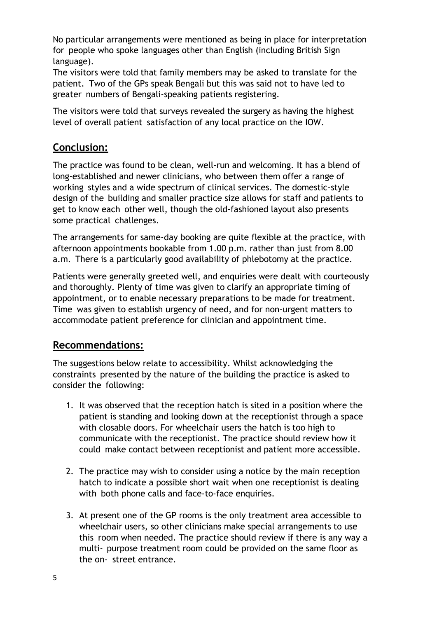No particular arrangements were mentioned as being in place for interpretation for people who spoke languages other than English (including British Sign language).

The visitors were told that family members may be asked to translate for the patient. Two of the GPs speak Bengali but this was said not to have led to greater numbers of Bengali-speaking patients registering.

The visitors were told that surveys revealed the surgery as having the highest level of overall patient satisfaction of any local practice on the IOW.

# **Conclusion:**

The practice was found to be clean, well-run and welcoming. It has a blend of long-established and newer clinicians, who between them offer a range of working styles and a wide spectrum of clinical services. The domestic-style design of the building and smaller practice size allows for staff and patients to get to know each other well, though the old-fashioned layout also presents some practical challenges.

The arrangements for same-day booking are quite flexible at the practice, with afternoon appointments bookable from 1.00 p.m. rather than just from 8.00 a.m. There is a particularly good availability of phlebotomy at the practice.

Patients were generally greeted well, and enquiries were dealt with courteously and thoroughly. Plenty of time was given to clarify an appropriate timing of appointment, or to enable necessary preparations to be made for treatment. Time was given to establish urgency of need, and for non-urgent matters to accommodate patient preference for clinician and appointment time.

## **Recommendations:**

The suggestions below relate to accessibility. Whilst acknowledging the constraints presented by the nature of the building the practice is asked to consider the following:

- 1. It was observed that the reception hatch is sited in a position where the patient is standing and looking down at the receptionist through a space with closable doors. For wheelchair users the hatch is too high to communicate with the receptionist. The practice should review how it could make contact between receptionist and patient more accessible.
- 2. The practice may wish to consider using a notice by the main reception hatch to indicate a possible short wait when one receptionist is dealing with both phone calls and face-to-face enquiries.
- 3. At present one of the GP rooms is the only treatment area accessible to wheelchair users, so other clinicians make special arrangements to use this room when needed. The practice should review if there is any way a multi- purpose treatment room could be provided on the same floor as the on- street entrance.